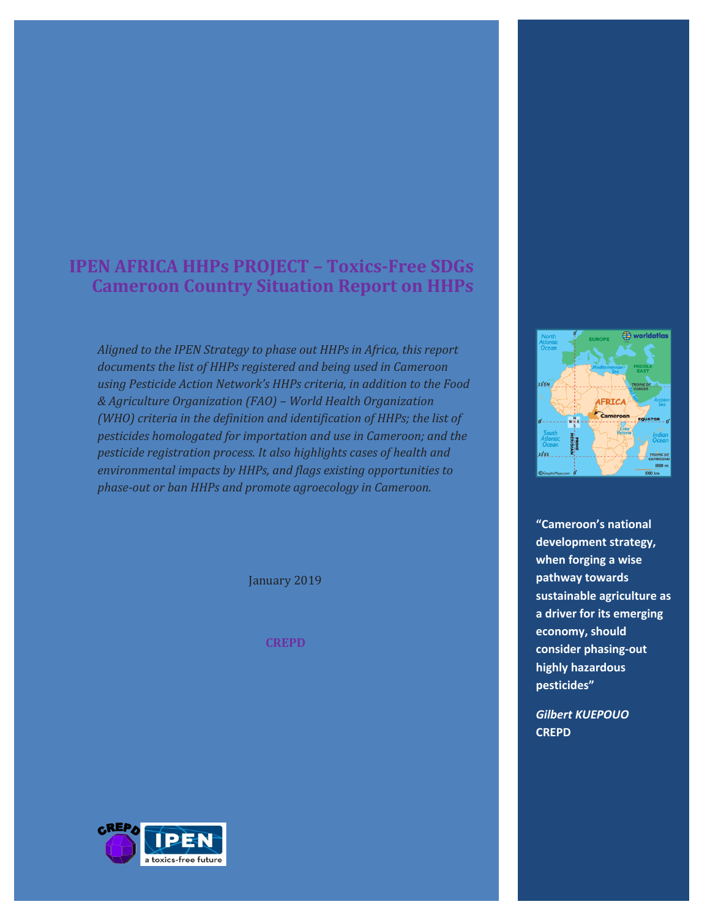# **IPEN AFRICA HHPs PROJECT - Toxics-Free SDGs Cameroon Country Situation Report on HHPs**

Aligned to the IPEN Strategy to phase out *HHPs* in Africa, this report documents the list of HHPs registered and being used in Cameroon *using Pesticide Action Network's HHPs criteria, in addition to the Food & Agriculture Organization (FAO) – World Health Organization (WHO) criteria in the definition and identification of HHPs; the list of pesticides homologated for importation and use in Cameroon; and the pesticide registration process. It also highlights cases of health and environmental impacts by HHPs, and flags existing opportunities to phase-out or ban HHPs and promote agroecology in Cameroon.* 

January 2019

**CREPD**





"Cameroon's national<br>development strategy,<br>when forging a vise<br>pathway towards<br>sustainable agriculture<br>a driver for its emergine<br>economy, should<br>consider phasing-out<br>highly hazardous<br>pesticides"<br>Gilbert KUEPOUO<br>CREPD **development strategy, when forging a wise pathway towards sustainable agriculture as a driver for its emerging economy, should consider phasing-out highly hazardous pesticides"**

*Gilbert KUEPOUO* **CREPD**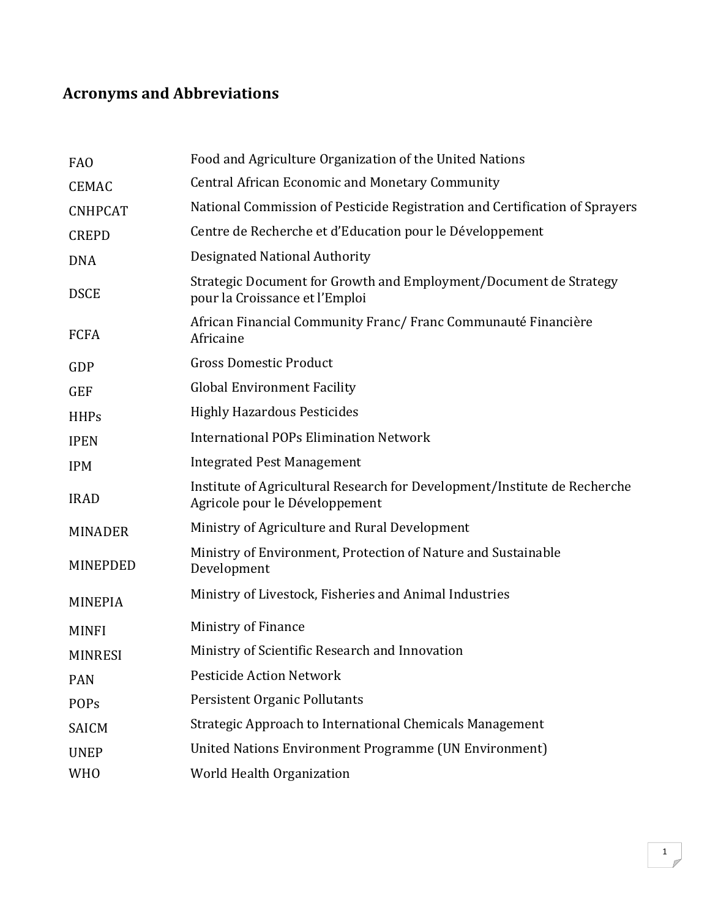# **Acronyms and Abbreviations**

| <b>FAO</b>      | Food and Agriculture Organization of the United Nations                                                     |
|-----------------|-------------------------------------------------------------------------------------------------------------|
| <b>CEMAC</b>    | <b>Central African Economic and Monetary Community</b>                                                      |
| <b>CNHPCAT</b>  | National Commission of Pesticide Registration and Certification of Sprayers                                 |
| <b>CREPD</b>    | Centre de Recherche et d'Education pour le Développement                                                    |
| <b>DNA</b>      | Designated National Authority                                                                               |
| <b>DSCE</b>     | Strategic Document for Growth and Employment/Document de Strategy<br>pour la Croissance et l'Emploi         |
| <b>FCFA</b>     | African Financial Community Franc/ Franc Communauté Financière<br>Africaine                                 |
| GDP             | <b>Gross Domestic Product</b>                                                                               |
| <b>GEF</b>      | <b>Global Environment Facility</b>                                                                          |
| <b>HHPs</b>     | <b>Highly Hazardous Pesticides</b>                                                                          |
| <b>IPEN</b>     | <b>International POPs Elimination Network</b>                                                               |
| <b>IPM</b>      | <b>Integrated Pest Management</b>                                                                           |
| <b>IRAD</b>     | Institute of Agricultural Research for Development/Institute de Recherche<br>Agricole pour le Développement |
| <b>MINADER</b>  | Ministry of Agriculture and Rural Development                                                               |
| <b>MINEPDED</b> | Ministry of Environment, Protection of Nature and Sustainable<br>Development                                |
| <b>MINEPIA</b>  | Ministry of Livestock, Fisheries and Animal Industries                                                      |
| <b>MINFI</b>    | Ministry of Finance                                                                                         |
| <b>MINRESI</b>  | Ministry of Scientific Research and Innovation                                                              |
| PAN             | <b>Pesticide Action Network</b>                                                                             |
| POPs            | Persistent Organic Pollutants                                                                               |
| <b>SAICM</b>    | Strategic Approach to International Chemicals Management                                                    |
| <b>UNEP</b>     | United Nations Environment Programme (UN Environment)                                                       |
| <b>WHO</b>      | World Health Organization                                                                                   |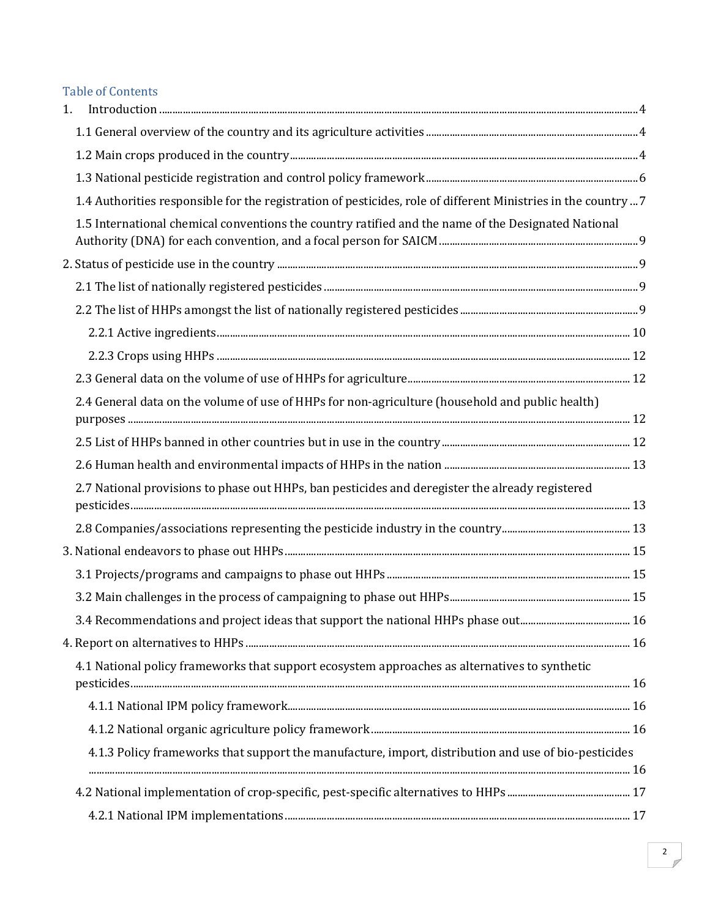#### Table of Contents

| 1. |                                                                                                                |  |
|----|----------------------------------------------------------------------------------------------------------------|--|
|    |                                                                                                                |  |
|    |                                                                                                                |  |
|    |                                                                                                                |  |
|    | 1.4 Authorities responsible for the registration of pesticides, role of different Ministries in the country  7 |  |
|    | 1.5 International chemical conventions the country ratified and the name of the Designated National            |  |
|    |                                                                                                                |  |
|    |                                                                                                                |  |
|    |                                                                                                                |  |
|    |                                                                                                                |  |
|    |                                                                                                                |  |
|    |                                                                                                                |  |
|    | 2.4 General data on the volume of use of HHPs for non-agriculture (household and public health)                |  |
|    |                                                                                                                |  |
|    |                                                                                                                |  |
|    | 2.7 National provisions to phase out HHPs, ban pesticides and deregister the already registered                |  |
|    |                                                                                                                |  |
|    |                                                                                                                |  |
|    |                                                                                                                |  |
|    |                                                                                                                |  |
|    |                                                                                                                |  |
|    |                                                                                                                |  |
|    | 4.1 National policy frameworks that support ecosystem approaches as alternatives to synthetic                  |  |
|    |                                                                                                                |  |
|    |                                                                                                                |  |
|    | 4.1.3 Policy frameworks that support the manufacture, import, distribution and use of bio-pesticides           |  |
|    |                                                                                                                |  |
|    |                                                                                                                |  |
|    |                                                                                                                |  |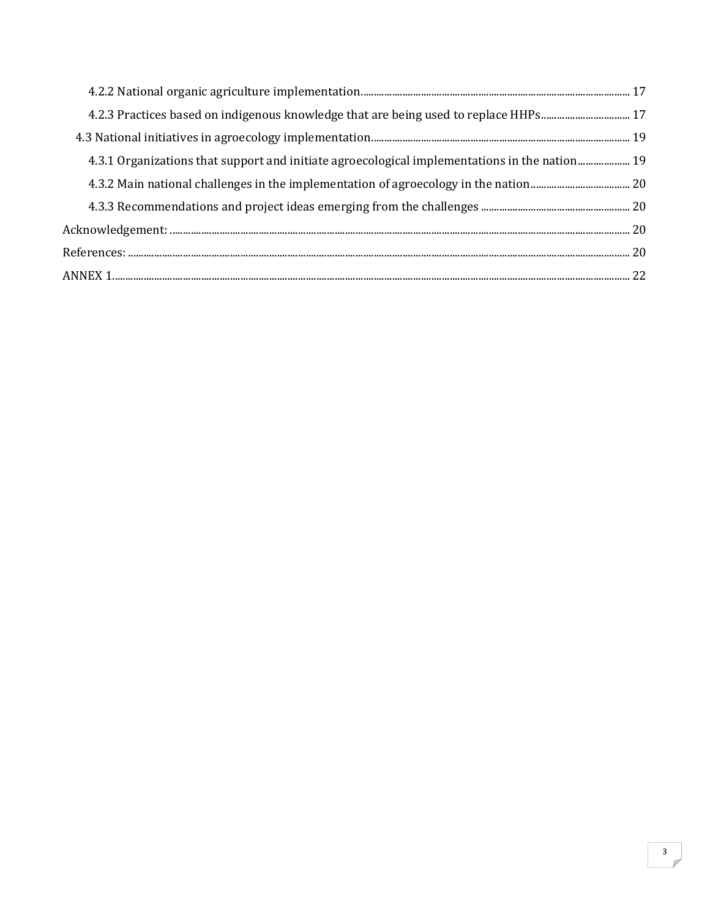| 4.3.1 Organizations that support and initiate agroecological implementations in the nation 19 |  |
|-----------------------------------------------------------------------------------------------|--|
|                                                                                               |  |
|                                                                                               |  |
|                                                                                               |  |
|                                                                                               |  |
|                                                                                               |  |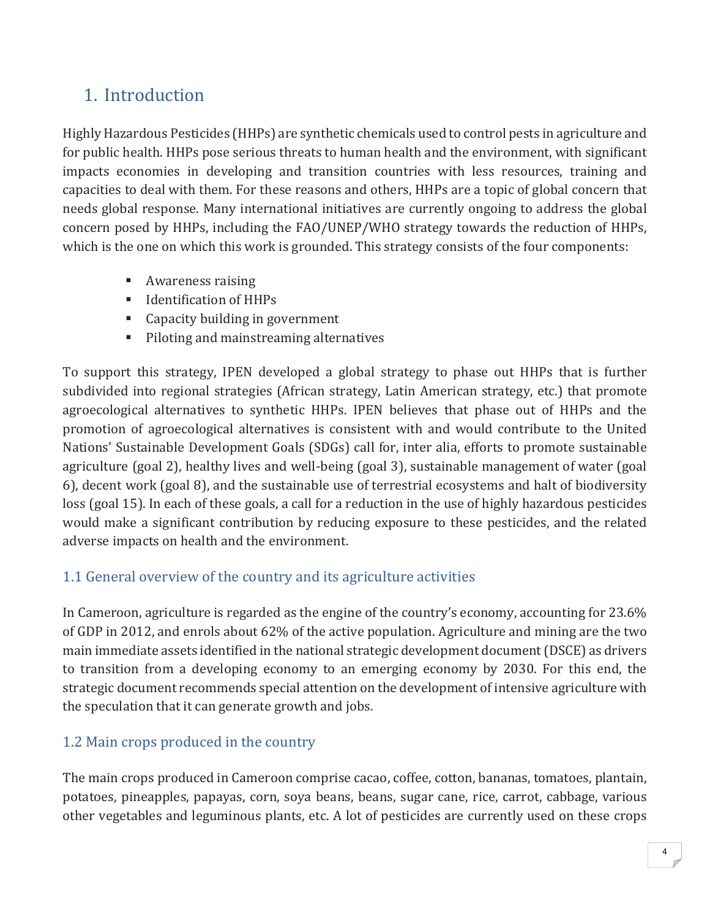# 1. Introduction

Highly Hazardous Pesticides (HHPs) are synthetic chemicals used to control pests in agriculture and for public health. HHPs pose serious threats to human health and the environment, with significant impacts economies in developing and transition countries with less resources, training and capacities to deal with them. For these reasons and others, HHPs are a topic of global concern that needs global response. Many international initiatives are currently ongoing to address the global concern posed by HHPs, including the FAO/UNEP/WHO strategy towards the reduction of HHPs, which is the one on which this work is grounded. This strategy consists of the four components:

- Awareness raising
- Identification of HHPs
- Capacity building in government
- **•** Piloting and mainstreaming alternatives

To support this strategy, IPEN developed a global strategy to phase out HHPs that is further subdivided into regional strategies (African strategy, Latin American strategy, etc.) that promote agroecological alternatives to synthetic HHPs. IPEN believes that phase out of HHPs and the promotion of agroecological alternatives is consistent with and would contribute to the United Nations' Sustainable Development Goals (SDGs) call for, inter alia, efforts to promote sustainable agriculture (goal 2), healthy lives and well-being (goal 3), sustainable management of water (goal 6), decent work (goal 8), and the sustainable use of terrestrial ecosystems and halt of biodiversity loss (goal 15). In each of these goals, a call for a reduction in the use of highly hazardous pesticides would make a significant contribution by reducing exposure to these pesticides, and the related adverse impacts on health and the environment.

### 1.1 General overview of the country and its agriculture activities

In Cameroon, agriculture is regarded as the engine of the country's economy, accounting for  $23.6\%$ of GDP in 2012, and enrols about 62% of the active population. Agriculture and mining are the two main immediate assets identified in the national strategic development document (DSCE) as drivers to transition from a developing economy to an emerging economy by 2030. For this end, the strategic document recommends special attention on the development of intensive agriculture with the speculation that it can generate growth and jobs.

### 1.2 Main crops produced in the country

The main crops produced in Cameroon comprise cacao, coffee, cotton, bananas, tomatoes, plantain, potatoes, pineapples, papayas, corn, soya beans, beans, sugar cane, rice, carrot, cabbage, various other vegetables and leguminous plants, etc. A lot of pesticides are currently used on these crops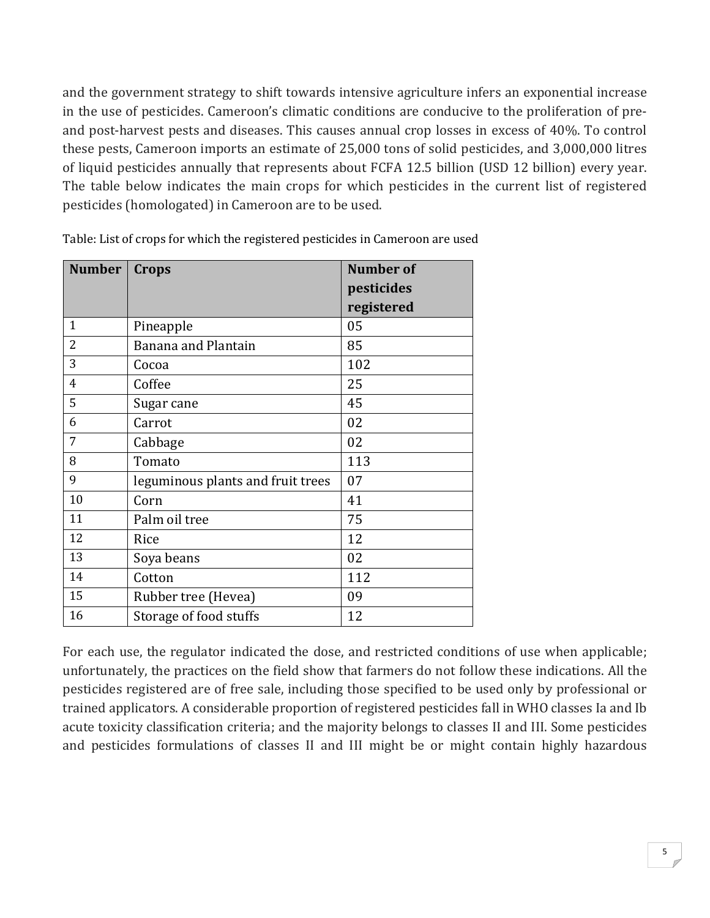and the government strategy to shift towards intensive agriculture infers an exponential increase in the use of pesticides. Cameroon's climatic conditions are conducive to the proliferation of preand post-harvest pests and diseases. This causes annual crop losses in excess of 40%. To control these pests, Cameroon imports an estimate of 25,000 tons of solid pesticides, and 3,000,000 litres of liquid pesticides annually that represents about FCFA 12.5 billion (USD 12 billion) every year. The table below indicates the main crops for which pesticides in the current list of registered pesticides (homologated) in Cameroon are to be used.

| <b>Number</b>  | Crops                             | <b>Number of</b> |
|----------------|-----------------------------------|------------------|
|                |                                   | pesticides       |
|                |                                   | registered       |
| 1              | Pineapple                         | 05               |
| $\overline{2}$ | Banana and Plantain               | 85               |
| 3              | Cocoa                             | 102              |
| $\overline{4}$ | Coffee                            | 25               |
| 5              | Sugar cane                        | 45               |
| 6              | Carrot                            | 02               |
| 7              | Cabbage                           | 02               |
| 8              | Tomato                            | 113              |
| 9              | leguminous plants and fruit trees | 07               |
| 10             | Corn                              | 41               |
| 11             | Palm oil tree                     | 75               |
| 12             | Rice                              | 12               |
| 13             | Soya beans                        | 02               |
| 14             | Cotton                            | 112              |
| 15             | Rubber tree (Hevea)               | 09               |
| 16             | Storage of food stuffs            | 12               |

Table: List of crops for which the registered pesticides in Cameroon are used

For each use, the regulator indicated the dose, and restricted conditions of use when applicable; unfortunately, the practices on the field show that farmers do not follow these indications. All the pesticides registered are of free sale, including those specified to be used only by professional or trained applicators. A considerable proportion of registered pesticides fall in WHO classes Ia and Ib acute toxicity classification criteria; and the majority belongs to classes II and III. Some pesticides and pesticides formulations of classes II and III might be or might contain highly hazardous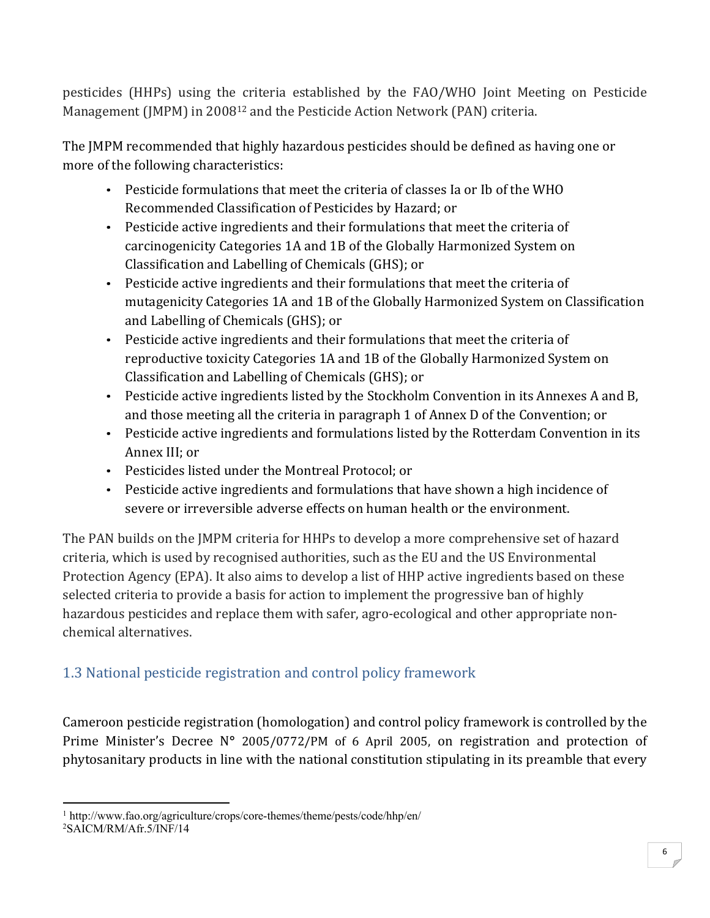pesticides (HHPs) using the criteria established by the FAO/WHO Joint Meeting on Pesticide Management (JMPM) in 2008<sup>12</sup> and the Pesticide Action Network (PAN) criteria.

The JMPM recommended that highly hazardous pesticides should be defined as having one or more of the following characteristics:

- Pesticide formulations that meet the criteria of classes Ia or Ib of the WHO Recommended Classification of Pesticides by Hazard; or
- Pesticide active ingredients and their formulations that meet the criteria of carcinogenicity Categories 1A and 1B of the Globally Harmonized System on Classification and Labelling of Chemicals (GHS); or
- Pesticide active ingredients and their formulations that meet the criteria of mutagenicity Categories 1A and 1B of the Globally Harmonized System on Classification and Labelling of Chemicals (GHS); or
- Pesticide active ingredients and their formulations that meet the criteria of reproductive toxicity Categories 1A and 1B of the Globally Harmonized System on Classification and Labelling of Chemicals (GHS); or
- Pesticide active ingredients listed by the Stockholm Convention in its Annexes A and B, and those meeting all the criteria in paragraph 1 of Annex D of the Convention; or
- Pesticide active ingredients and formulations listed by the Rotterdam Convention in its Annex III; or
- Pesticides listed under the Montreal Protocol; or
- Pesticide active ingredients and formulations that have shown a high incidence of severe or irreversible adverse effects on human health or the environment.

The PAN builds on the JMPM criteria for HHPs to develop a more comprehensive set of hazard criteria, which is used by recognised authorities, such as the EU and the US Environmental Protection Agency (EPA). It also aims to develop a list of HHP active ingredients based on these selected criteria to provide a basis for action to implement the progressive ban of highly hazardous pesticides and replace them with safer, agro-ecological and other appropriate nonchemical alternatives.

# 1.3 National pesticide registration and control policy framework

Cameroon pesticide registration (homologation) and control policy framework is controlled by the Prime Minister's Decree N° 2005/0772/PM of 6 April 2005, on registration and protection of phytosanitary products in line with the national constitution stipulating in its preamble that every

 $\overline{a}$ <sup>1</sup> http://www.fao.org/agriculture/crops/core-themes/theme/pests/code/hhp/en/

<sup>2</sup>SAICM/RM/Afr.5/INF/14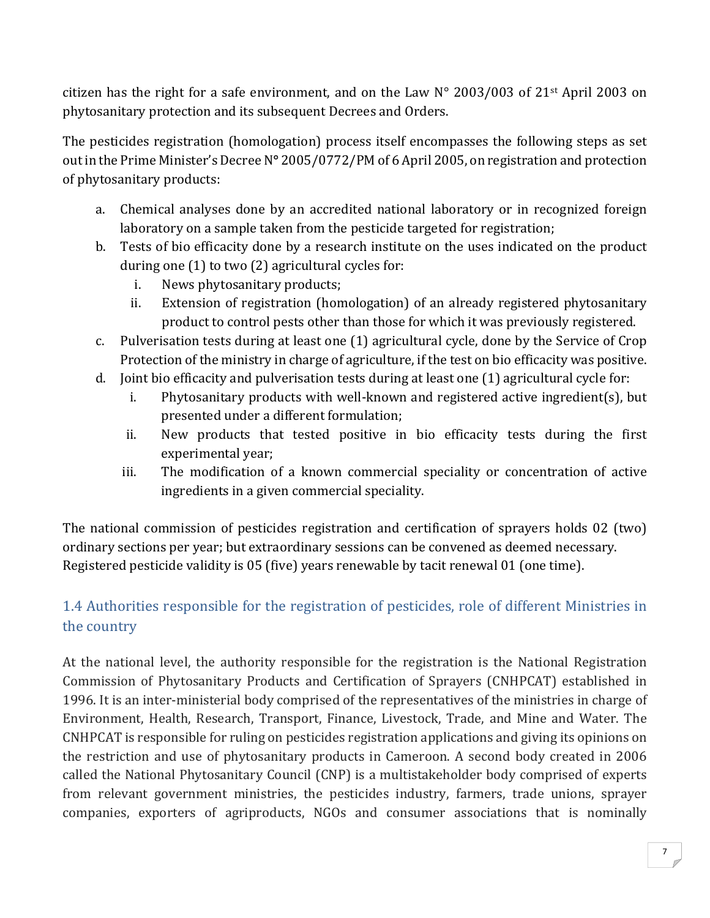citizen has the right for a safe environment, and on the Law  $N^{\circ}$  2003/003 of 21<sup>st</sup> April 2003 on phytosanitary protection and its subsequent Decrees and Orders.

The pesticides registration (homologation) process itself encompasses the following steps as set out in the Prime Minister's Decree N° 2005/0772/PM of 6 April 2005, on registration and protection of phytosanitary products:

- a. Chemical analyses done by an accredited national laboratory or in recognized foreign laboratory on a sample taken from the pesticide targeted for registration;
- b. Tests of bio efficacity done by a research institute on the uses indicated on the product during one  $(1)$  to two  $(2)$  agricultural cycles for:
	- i. News phytosanitary products;
	- ii. Extension of registration (homologation) of an already registered phytosanitary product to control pests other than those for which it was previously registered.
- c. Pulverisation tests during at least one (1) agricultural cycle, done by the Service of Crop Protection of the ministry in charge of agriculture, if the test on bio efficacity was positive.
- d. Joint bio efficacity and pulverisation tests during at least one (1) agricultural cycle for:
	- i. Phytosanitary products with well-known and registered active ingredient(s), but presented under a different formulation;
	- ii. New products that tested positive in bio efficacity tests during the first experimental year;
	- iii. The modification of a known commercial speciality or concentration of active ingredients in a given commercial speciality.

The national commission of pesticides registration and certification of sprayers holds 02 (two) ordinary sections per year; but extraordinary sessions can be convened as deemed necessary. Registered pesticide validity is 05 (five) years renewable by tacit renewal 01 (one time).

# 1.4 Authorities responsible for the registration of pesticides, role of different Ministries in the country

At the national level, the authority responsible for the registration is the National Registration Commission of Phytosanitary Products and Certification of Sprayers (CNHPCAT) established in 1996. It is an inter-ministerial body comprised of the representatives of the ministries in charge of Environment, Health, Research, Transport, Finance, Livestock, Trade, and Mine and Water. The CNHPCAT is responsible for ruling on pesticides registration applications and giving its opinions on the restriction and use of phytosanitary products in Cameroon. A second body created in 2006 called the National Phytosanitary Council (CNP) is a multistakeholder body comprised of experts from relevant government ministries, the pesticides industry, farmers, trade unions, sprayer companies, exporters of agriproducts, NGOs and consumer associations that is nominally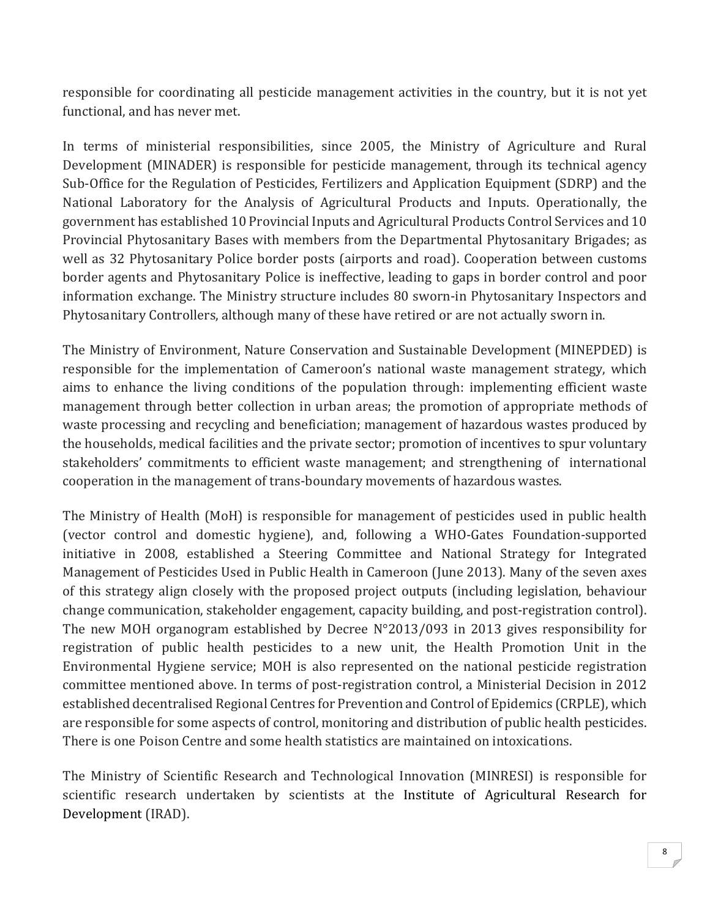responsible for coordinating all pesticide management activities in the country, but it is not yet functional, and has never met.

In terms of ministerial responsibilities, since 2005, the Ministry of Agriculture and Rural Development (MINADER) is responsible for pesticide management, through its technical agency Sub-Office for the Regulation of Pesticides, Fertilizers and Application Equipment (SDRP) and the National Laboratory for the Analysis of Agricultural Products and Inputs. Operationally, the government has established 10 Provincial Inputs and Agricultural Products Control Services and 10 Provincial Phytosanitary Bases with members from the Departmental Phytosanitary Brigades; as well as 32 Phytosanitary Police border posts (airports and road). Cooperation between customs border agents and Phytosanitary Police is ineffective, leading to gaps in border control and poor information exchange. The Ministry structure includes 80 sworn-in Phytosanitary Inspectors and Phytosanitary Controllers, although many of these have retired or are not actually sworn in.

The Ministry of Environment, Nature Conservation and Sustainable Development (MINEPDED) is responsible for the implementation of Cameroon's national waste management strategy, which aims to enhance the living conditions of the population through: implementing efficient waste management through better collection in urban areas; the promotion of appropriate methods of waste processing and recycling and beneficiation; management of hazardous wastes produced by the households, medical facilities and the private sector; promotion of incentives to spur voluntary stakeholders' commitments to efficient waste management; and strengthening of international cooperation in the management of trans-boundary movements of hazardous wastes.

The Ministry of Health (MoH) is responsible for management of pesticides used in public health (vector control and domestic hygiene), and, following a WHO-Gates Foundation-supported initiative in 2008, established a Steering Committee and National Strategy for Integrated Management of Pesticides Used in Public Health in Cameroon (June 2013). Many of the seven axes of this strategy align closely with the proposed project outputs (including legislation, behaviour change communication, stakeholder engagement, capacity building, and post-registration control). The new MOH organogram established by Decree  $N^{\circ}2013/093$  in 2013 gives responsibility for registration of public health pesticides to a new unit, the Health Promotion Unit in the Environmental Hygiene service; MOH is also represented on the national pesticide registration committee mentioned above. In terms of post-registration control, a Ministerial Decision in 2012 established decentralised Regional Centres for Prevention and Control of Epidemics (CRPLE), which are responsible for some aspects of control, monitoring and distribution of public health pesticides. There is one Poison Centre and some health statistics are maintained on intoxications.

The Ministry of Scientific Research and Technological Innovation (MINRESI) is responsible for scientific research undertaken by scientists at the Institute of Agricultural Research for Development (IRAD).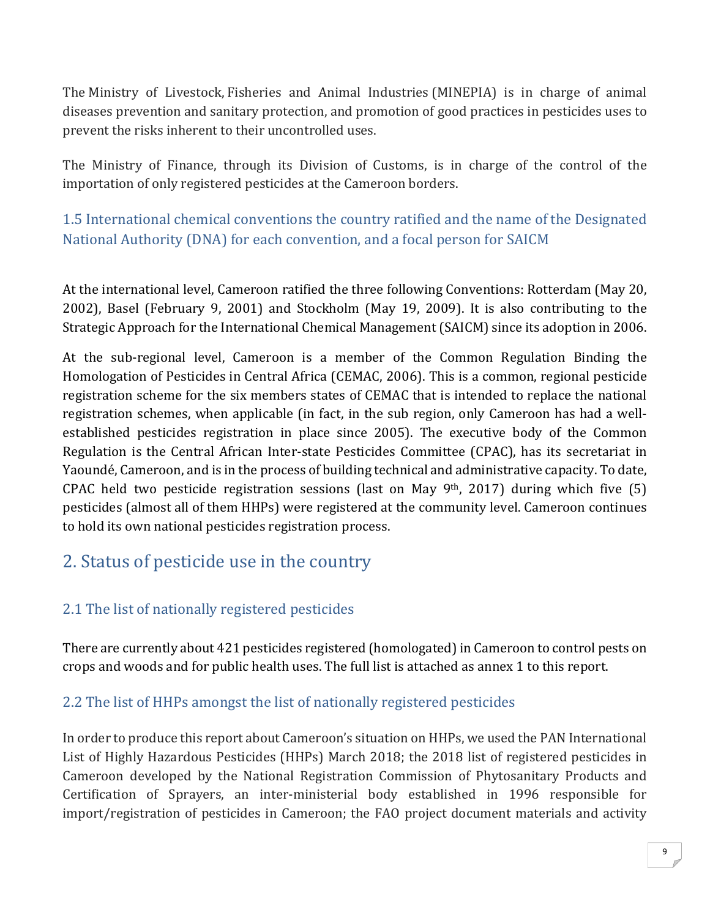The Ministry of Livestock, Fisheries and Animal Industries (MINEPIA) is in charge of animal diseases prevention and sanitary protection, and promotion of good practices in pesticides uses to prevent the risks inherent to their uncontrolled uses.

The Ministry of Finance, through its Division of Customs, is in charge of the control of the importation of only registered pesticides at the Cameroon borders.

1.5 International chemical conventions the country ratified and the name of the Designated National Authority (DNA) for each convention, and a focal person for SAICM

At the international level, Cameroon ratified the three following Conventions: Rotterdam (May 20, 2002), Basel (February 9, 2001) and Stockholm (May 19, 2009). It is also contributing to the Strategic Approach for the International Chemical Management (SAICM) since its adoption in 2006.

At the sub-regional level, Cameroon is a member of the Common Regulation Binding the Homologation of Pesticides in Central Africa (CEMAC, 2006). This is a common, regional pesticide registration scheme for the six members states of CEMAC that is intended to replace the national registration schemes, when applicable (in fact, in the sub region, only Cameroon has had a wellestablished pesticides registration in place since 2005). The executive body of the Common Regulation is the Central African Inter-state Pesticides Committee (CPAC), has its secretariat in Yaoundé, Cameroon, and is in the process of building technical and administrative capacity. To date, CPAC held two pesticide registration sessions (last on May  $9<sup>th</sup>$ , 2017) during which five (5) pesticides (almost all of them HHPs) were registered at the community level. Cameroon continues to hold its own national pesticides registration process.

# 2. Status of pesticide use in the country

# 2.1 The list of nationally registered pesticides

There are currently about 421 pesticides registered (homologated) in Cameroon to control pests on crops and woods and for public health uses. The full list is attached as annex 1 to this report.

### 2.2 The list of HHPs amongst the list of nationally registered pesticides

In order to produce this report about Cameroon's situation on HHPs, we used the PAN International List of Highly Hazardous Pesticides (HHPs) March 2018; the 2018 list of registered pesticides in Cameroon developed by the National Registration Commission of Phytosanitary Products and Certification of Sprayers, an inter-ministerial body established in 1996 responsible for import/registration of pesticides in Cameroon; the FAO project document materials and activity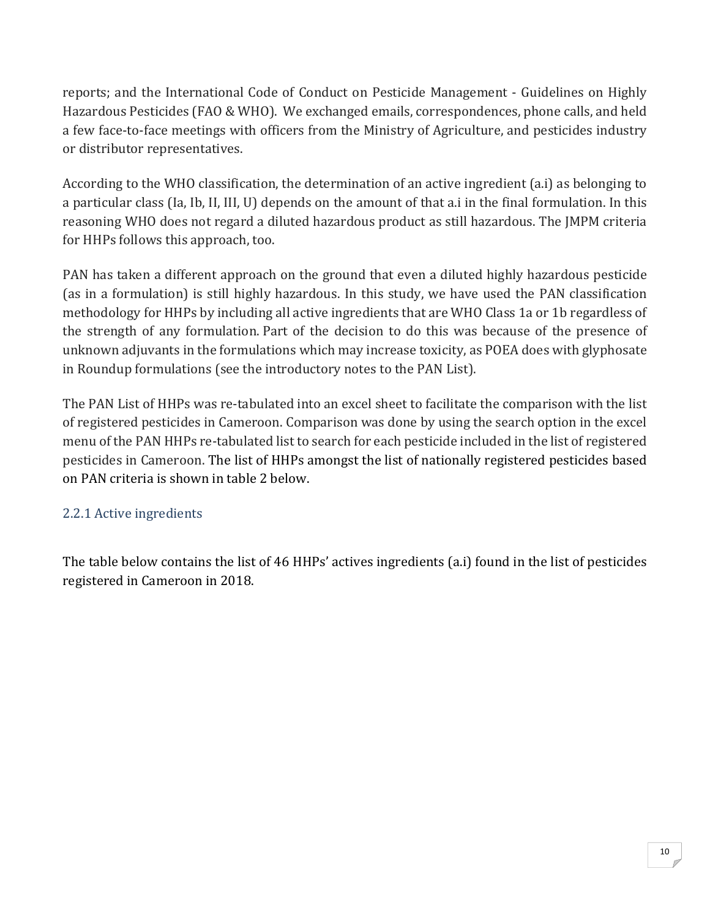reports; and the International Code of Conduct on Pesticide Management - Guidelines on Highly Hazardous Pesticides (FAO & WHO). We exchanged emails, correspondences, phone calls, and held a few face-to-face meetings with officers from the Ministry of Agriculture, and pesticides industry or distributor representatives.

According to the WHO classification, the determination of an active ingredient (a.i) as belonging to a particular class (Ia, Ib, II, III, U) depends on the amount of that a.i in the final formulation. In this reasoning WHO does not regard a diluted hazardous product as still hazardous. The JMPM criteria for HHPs follows this approach, too.

PAN has taken a different approach on the ground that even a diluted highly hazardous pesticide (as in a formulation) is still highly hazardous. In this study, we have used the PAN classification methodology for HHPs by including all active ingredients that are WHO Class 1a or 1b regardless of the strength of any formulation. Part of the decision to do this was because of the presence of unknown adjuvants in the formulations which may increase toxicity, as POEA does with glyphosate in Roundup formulations (see the introductory notes to the PAN List).

The PAN List of HHPs was re-tabulated into an excel sheet to facilitate the comparison with the list of registered pesticides in Cameroon. Comparison was done by using the search option in the excel menu of the PAN HHPs re-tabulated list to search for each pesticide included in the list of registered pesticides in Cameroon. The list of HHPs amongst the list of nationally registered pesticides based on PAN criteria is shown in table 2 below.

### 2.2.1 Active ingredients

The table below contains the list of 46 HHPs' actives ingredients  $(a,i)$  found in the list of pesticides registered in Cameroon in 2018.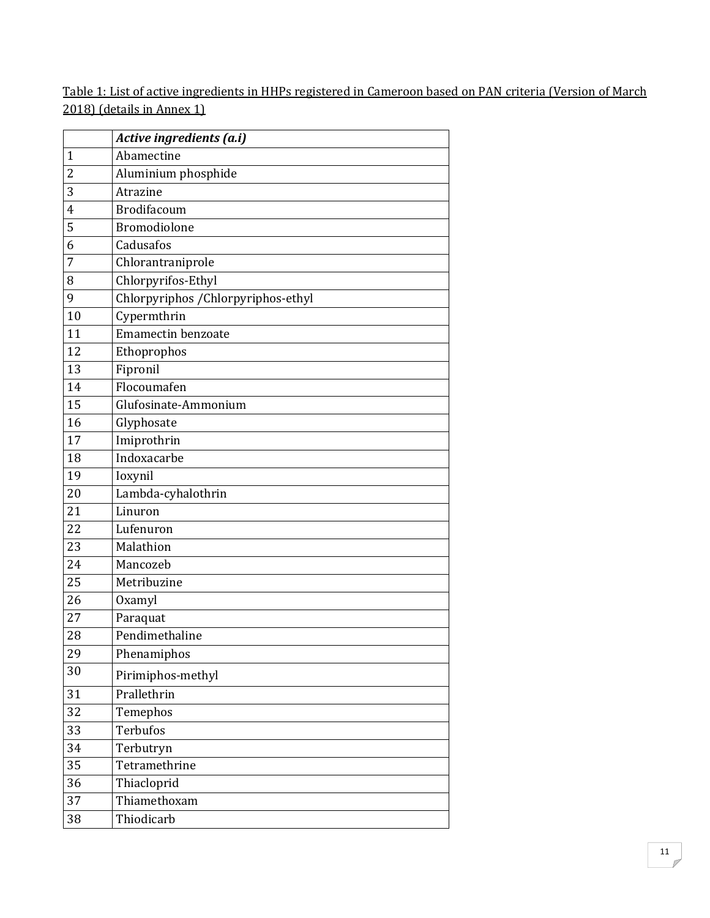Table 1: List of active ingredients in HHPs registered in Cameroon based on PAN criteria (Version of March 2018) (details in Annex 1)

|                | Active ingredients (a.i)            |
|----------------|-------------------------------------|
| $\mathbf{1}$   | Abamectine                          |
| $\overline{2}$ | Aluminium phosphide                 |
| 3              | Atrazine                            |
| 4              | Brodifacoum                         |
| 5              | Bromodiolone                        |
| 6              | Cadusafos                           |
| 7              | Chlorantraniprole                   |
| 8              | Chlorpyrifos-Ethyl                  |
| 9              | Chlorpyriphos / Chlorpyriphos-ethyl |
| 10             | Cypermthrin                         |
| 11             | <b>Emamectin benzoate</b>           |
| 12             | Ethoprophos                         |
| 13             | Fipronil                            |
| 14             | Flocoumafen                         |
| 15             | Glufosinate-Ammonium                |
| 16             | Glyphosate                          |
| 17             | Imiprothrin                         |
| 18             | Indoxacarbe                         |
| 19             | Ioxynil                             |
| 20             | Lambda-cyhalothrin                  |
| 21             | Linuron                             |
| 22             | Lufenuron                           |
| 23             | Malathion                           |
| 24             | Mancozeb                            |
| 25             | Metribuzine                         |
| 26             | Oxamyl                              |
| 27             | Paraquat                            |
| 28             | Pendimethaline                      |
| 29             | Phenamiphos                         |
| 30             | Pirimiphos-methyl                   |
| 31             | Prallethrin                         |
| 32             | Temephos                            |
| 33             | Terbufos                            |
| 34             | Terbutryn                           |
| 35             | Tetramethrine                       |
| 36             | Thiacloprid                         |
| 37             | Thiamethoxam                        |
| 38             | Thiodicarb                          |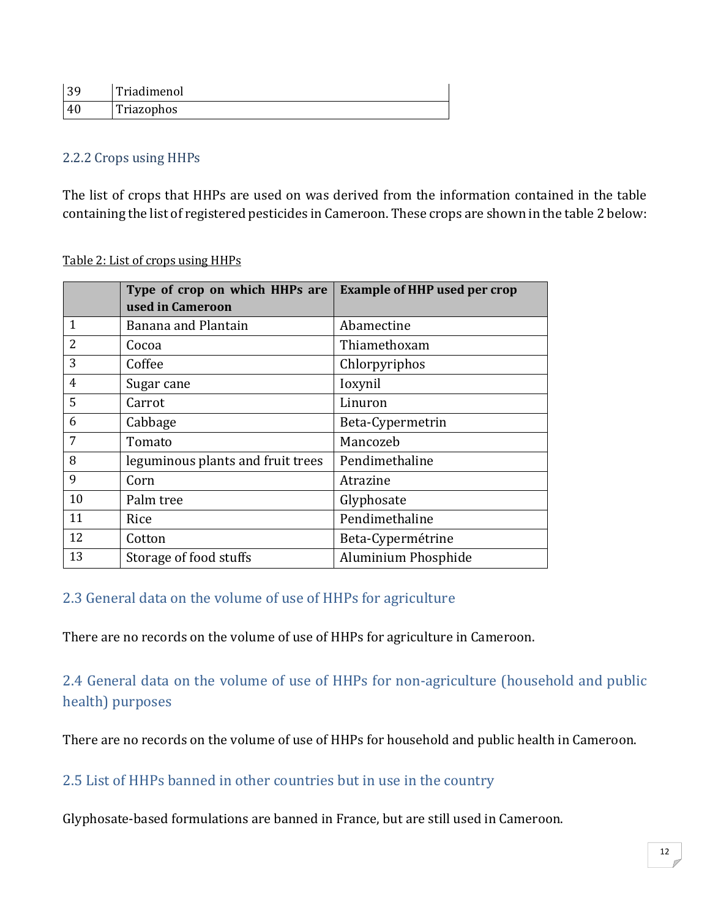| 39 | Triadimenol |
|----|-------------|
| 40 | Triazophos  |

### 2.2.2 Crops using HHPs

The list of crops that HHPs are used on was derived from the information contained in the table containing the list of registered pesticides in Cameroon. These crops are shown in the table 2 below:

#### Table 2: List of crops using HHPs

|              | Type of crop on which HHPs are    | <b>Example of HHP used per crop</b> |
|--------------|-----------------------------------|-------------------------------------|
|              | used in Cameroon                  |                                     |
| $\mathbf{1}$ | Banana and Plantain               | Abamectine                          |
| 2            | Cocoa                             | Thiamethoxam                        |
| 3            | Coffee                            | Chlorpyriphos                       |
| 4            | Sugar cane                        | Ioxynil                             |
| 5            | Carrot                            | Linuron                             |
| 6            | Cabbage                           | Beta-Cypermetrin                    |
| 7            | Tomato                            | Mancozeb                            |
| 8            | leguminous plants and fruit trees | Pendimethaline                      |
| 9            | Corn                              | Atrazine                            |
| 10           | Palm tree                         | Glyphosate                          |
| 11           | Rice                              | Pendimethaline                      |
| 12           | Cotton                            | Beta-Cypermétrine                   |
| 13           | Storage of food stuffs            | Aluminium Phosphide                 |

### 2.3 General data on the volume of use of HHPs for agriculture

There are no records on the volume of use of HHPs for agriculture in Cameroon.

2.4 General data on the volume of use of HHPs for non-agriculture (household and public health) purposes

There are no records on the volume of use of HHPs for household and public health in Cameroon.

### 2.5 List of HHPs banned in other countries but in use in the country

Glyphosate-based formulations are banned in France, but are still used in Cameroon.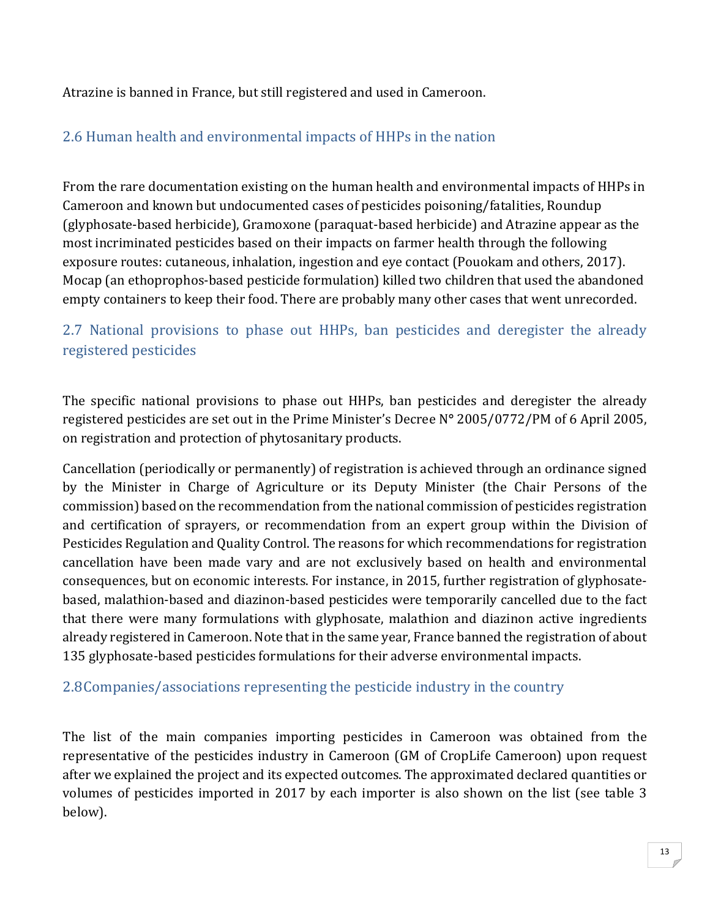Atrazine is banned in France, but still registered and used in Cameroon.

### 2.6 Human health and environmental impacts of HHPs in the nation

From the rare documentation existing on the human health and environmental impacts of HHPs in Cameroon and known but undocumented cases of pesticides poisoning/fatalities, Roundup (glyphosate-based herbicide), Gramoxone (paraquat-based herbicide) and Atrazine appear as the most incriminated pesticides based on their impacts on farmer health through the following exposure routes: cutaneous, inhalation, ingestion and eye contact (Pouokam and others, 2017). Mocap (an ethoprophos-based pesticide formulation) killed two children that used the abandoned empty containers to keep their food. There are probably many other cases that went unrecorded.

# 2.7 National provisions to phase out HHPs, ban pesticides and deregister the already registered pesticides

The specific national provisions to phase out HHPs, ban pesticides and deregister the already registered pesticides are set out in the Prime Minister's Decree N° 2005/0772/PM of 6 April 2005, on registration and protection of phytosanitary products.

Cancellation (periodically or permanently) of registration is achieved through an ordinance signed by the Minister in Charge of Agriculture or its Deputy Minister (the Chair Persons of the commission) based on the recommendation from the national commission of pesticides registration and certification of sprayers, or recommendation from an expert group within the Division of Pesticides Regulation and Quality Control. The reasons for which recommendations for registration cancellation have been made vary and are not exclusively based on health and environmental consequences, but on economic interests. For instance, in 2015, further registration of glyphosatebased, malathion-based and diazinon-based pesticides were temporarily cancelled due to the fact that there were many formulations with glyphosate, malathion and diazinon active ingredients already registered in Cameroon. Note that in the same year, France banned the registration of about 135 glyphosate-based pesticides formulations for their adverse environmental impacts.

### 2.8 Companies/associations representing the pesticide industry in the country

The list of the main companies importing pesticides in Cameroon was obtained from the representative of the pesticides industry in Cameroon (GM of CropLife Cameroon) upon request after we explained the project and its expected outcomes. The approximated declared quantities or volumes of pesticides imported in 2017 by each importer is also shown on the list (see table 3 below).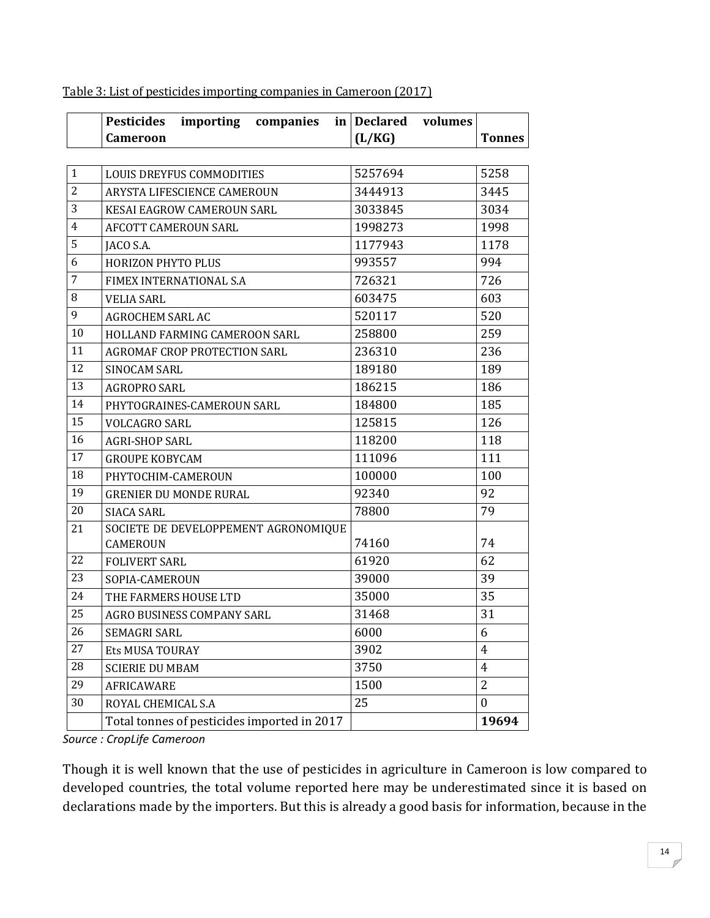|                | Pesticides importing companies              | in   Declared volumes |                  |
|----------------|---------------------------------------------|-----------------------|------------------|
|                | <b>Cameroon</b>                             | (L/KG)                | <b>Tonnes</b>    |
|                |                                             |                       |                  |
| $\mathbf{1}$   | LOUIS DREYFUS COMMODITIES                   | 5257694               | 5258             |
| $\overline{2}$ | ARYSTA LIFESCIENCE CAMEROUN                 | 3444913               | 3445             |
| 3              | KESAI EAGROW CAMEROUN SARL                  | 3033845               | 3034             |
| $\overline{4}$ | AFCOTT CAMEROUN SARL                        | 1998273               | 1998             |
| 5              | JACO S.A.                                   | 1177943               | 1178             |
| 6              | <b>HORIZON PHYTO PLUS</b>                   | 993557                | 994              |
| $\overline{7}$ | FIMEX INTERNATIONAL S.A                     | 726321                | 726              |
| 8              | <b>VELIA SARL</b>                           | 603475                | 603              |
| 9              | AGROCHEM SARL AC                            | 520117                | 520              |
| 10             | HOLLAND FARMING CAMEROON SARL               | 258800                | 259              |
| 11             | AGROMAF CROP PROTECTION SARL                | 236310                | 236              |
| 12             | SINOCAM SARL                                | 189180                | 189              |
| 13             | <b>AGROPRO SARL</b>                         | 186215                | 186              |
| 14             | PHYTOGRAINES-CAMEROUN SARL                  | 184800                | 185              |
| 15             | <b>VOLCAGRO SARL</b>                        | 125815                | 126              |
| 16             | AGRI-SHOP SARL                              | 118200                | 118              |
| 17             | <b>GROUPE KOBYCAM</b>                       | 111096                | 111              |
| 18             | PHYTOCHIM-CAMEROUN                          | 100000                | 100              |
| 19             | <b>GRENIER DU MONDE RURAL</b>               | 92340                 | 92               |
| 20             | <b>SIACA SARL</b>                           | 78800                 | 79               |
| 21             | SOCIETE DE DEVELOPPEMENT AGRONOMIQUE        |                       |                  |
|                | CAMEROUN                                    | 74160                 | 74               |
| 22             | <b>FOLIVERT SARL</b>                        | 61920                 | 62               |
| 23             | SOPIA-CAMEROUN                              | 39000                 | 39               |
| 24             | THE FARMERS HOUSE LTD                       | 35000                 | 35               |
| 25             | AGRO BUSINESS COMPANY SARL                  | 31468                 | 31               |
| 26             | SEMAGRI SARL                                | 6000                  | 6                |
| 27             | Ets MUSA TOURAY                             | 3902                  | 4                |
| 28             | <b>SCIERIE DU MBAM</b>                      | 3750                  | $\overline{4}$   |
| 29             | AFRICAWARE                                  | 1500                  | $\overline{2}$   |
| 30             | ROYAL CHEMICAL S.A                          | 25                    | $\boldsymbol{0}$ |
|                | Total tonnes of pesticides imported in 2017 |                       | 19694            |

Table 3: List of pesticides importing companies in Cameroon (2017)

*Source : CropLife Cameroon*

Though it is well known that the use of pesticides in agriculture in Cameroon is low compared to developed countries, the total volume reported here may be underestimated since it is based on declarations made by the importers. But this is already a good basis for information, because in the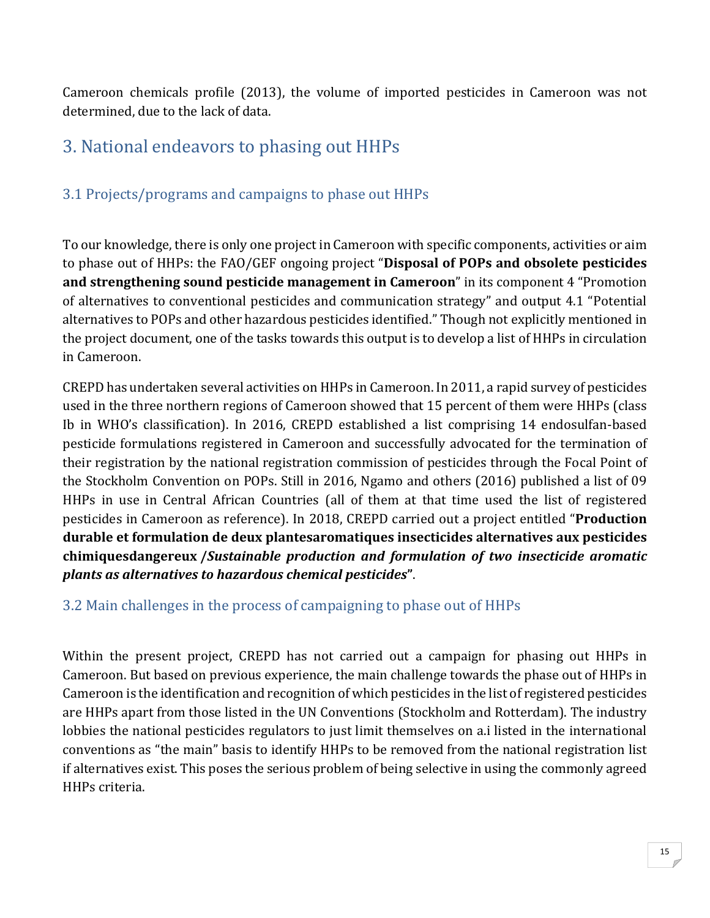Cameroon chemicals profile (2013), the volume of imported pesticides in Cameroon was not determined, due to the lack of data.

# 3. National endeavors to phasing out HHPs

### 3.1 Projects/programs and campaigns to phase out HHPs

To our knowledge, there is only one project in Cameroon with specific components, activities or aim to phase out of HHPs: the FAO/GEF ongoing project "Disposal of POPs and obsolete pesticides **and strengthening sound pesticide management in Cameroon**" in its component 4 "Promotion of alternatives to conventional pesticides and communication strategy" and output 4.1 "Potential alternatives to POPs and other hazardous pesticides identified." Though not explicitly mentioned in the project document, one of the tasks towards this output is to develop a list of HHPs in circulation in Cameroon.

CREPD has undertaken several activities on HHPs in Cameroon. In 2011, a rapid survey of pesticides used in the three northern regions of Cameroon showed that 15 percent of them were HHPs (class Ib in WHO's classification). In 2016, CREPD established a list comprising 14 endosulfan-based pesticide formulations registered in Cameroon and successfully advocated for the termination of their registration by the national registration commission of pesticides through the Focal Point of the Stockholm Convention on POPs. Still in 2016, Ngamo and others (2016) published a list of 09 HHPs in use in Central African Countries (all of them at that time used the list of registered pesticides in Cameroon as reference). In 2018, CREPD carried out a project entitled "**Production** durable et formulation de deux plantesaromatiques insecticides alternatives aux pesticides **chimiquesdangereux /***Sustainable production and formulation of two insecticide aromatic plants as alternatives to hazardous chemical pesticides***"**.

### 3.2 Main challenges in the process of campaigning to phase out of HHPs

Within the present project, CREPD has not carried out a campaign for phasing out HHPs in Cameroon. But based on previous experience, the main challenge towards the phase out of HHPs in Cameroon is the identification and recognition of which pesticides in the list of registered pesticides are HHPs apart from those listed in the UN Conventions (Stockholm and Rotterdam). The industry lobbies the national pesticides regulators to just limit themselves on a.i listed in the international conventions as "the main" basis to identify HHPs to be removed from the national registration list if alternatives exist. This poses the serious problem of being selective in using the commonly agreed HHPs criteria.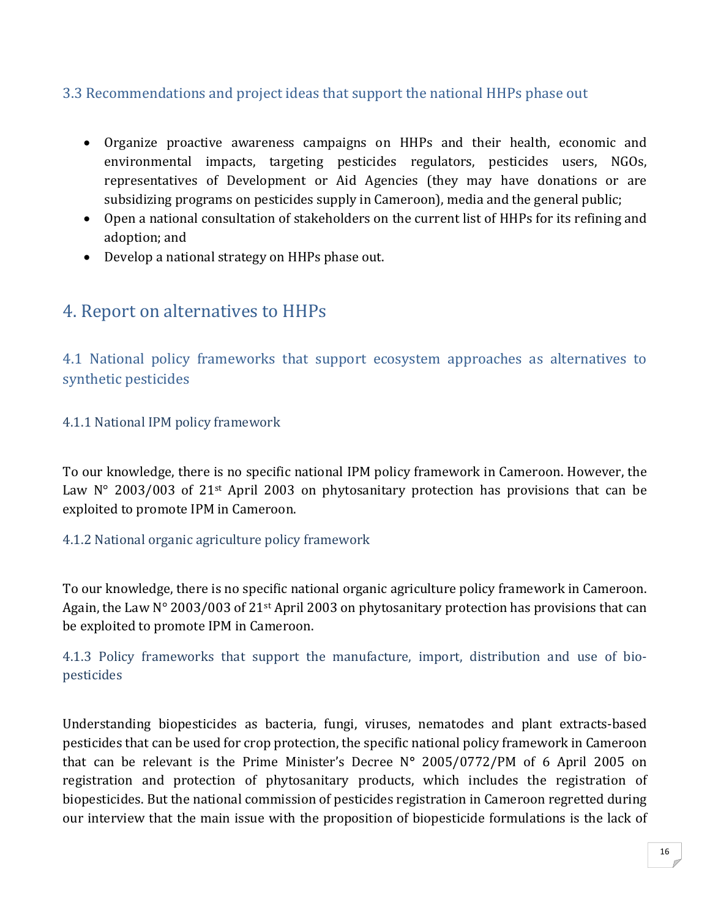### 3.3 Recommendations and project ideas that support the national HHPs phase out

- Organize proactive awareness campaigns on HHPs and their health, economic and environmental impacts, targeting pesticides regulators, pesticides users, NGOs, representatives of Development or Aid Agencies (they may have donations or are subsidizing programs on pesticides supply in Cameroon), media and the general public;
- Open a national consultation of stakeholders on the current list of HHPs for its refining and adoption; and
- Develop a national strategy on HHPs phase out.

# 4. Report on alternatives to HHPs

4.1 National policy frameworks that support ecosystem approaches as alternatives to synthetic pesticides

### 4.1.1 National IPM policy framework

To our knowledge, there is no specific national IPM policy framework in Cameroon. However, the Law  $N^{\circ}$  2003/003 of 21<sup>st</sup> April 2003 on phytosanitary protection has provisions that can be exploited to promote IPM in Cameroon.

#### 4.1.2 National organic agriculture policy framework

To our knowledge, there is no specific national organic agriculture policy framework in Cameroon. Again, the Law  $N^{\circ}$  2003/003 of 21<sup>st</sup> April 2003 on phytosanitary protection has provisions that can be exploited to promote IPM in Cameroon.

4.1.3 Policy frameworks that support the manufacture, import, distribution and use of biopesticides

Understanding biopesticides as bacteria, fungi, viruses, nematodes and plant extracts-based pesticides that can be used for crop protection, the specific national policy framework in Cameroon that can be relevant is the Prime Minister's Decree N° 2005/0772/PM of 6 April 2005 on registration and protection of phytosanitary products, which includes the registration of biopesticides. But the national commission of pesticides registration in Cameroon regretted during our interview that the main issue with the proposition of biopesticide formulations is the lack of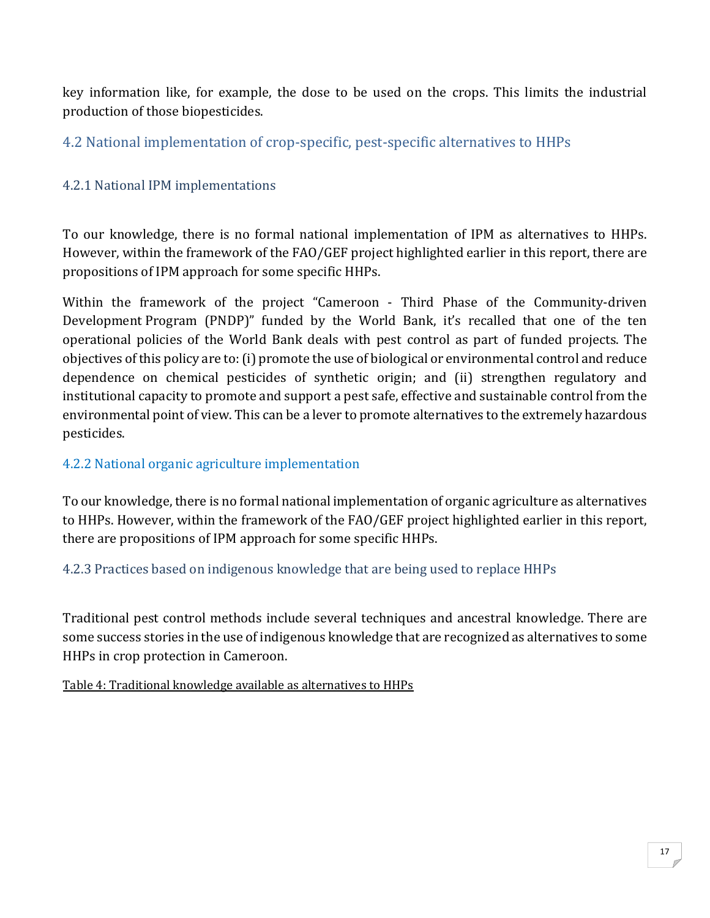key information like, for example, the dose to be used on the crops. This limits the industrial production of those biopesticides.

## 4.2 National implementation of crop-specific, pest-specific alternatives to HHPs

### 4.2.1 National IPM implementations

To our knowledge, there is no formal national implementation of IPM as alternatives to HHPs. However, within the framework of the FAO/GEF project highlighted earlier in this report, there are propositions of IPM approach for some specific HHPs.

Within the framework of the project "Cameroon - Third Phase of the Community-driven Development Program (PNDP)" funded by the World Bank, it's recalled that one of the ten operational policies of the World Bank deals with pest control as part of funded projects. The objectives of this policy are to: (i) promote the use of biological or environmental control and reduce dependence on chemical pesticides of synthetic origin; and (ii) strengthen regulatory and institutional capacity to promote and support a pest safe, effective and sustainable control from the environmental point of view. This can be a lever to promote alternatives to the extremely hazardous pesticides.

### 4.2.2 National organic agriculture implementation

To our knowledge, there is no formal national implementation of organic agriculture as alternatives to HHPs. However, within the framework of the FAO/GEF project highlighted earlier in this report, there are propositions of IPM approach for some specific HHPs.

### 4.2.3 Practices based on indigenous knowledge that are being used to replace HHPs

Traditional pest control methods include several techniques and ancestral knowledge. There are some success stories in the use of indigenous knowledge that are recognized as alternatives to some HHPs in crop protection in Cameroon.

Table 4: Traditional knowledge available as alternatives to HHPs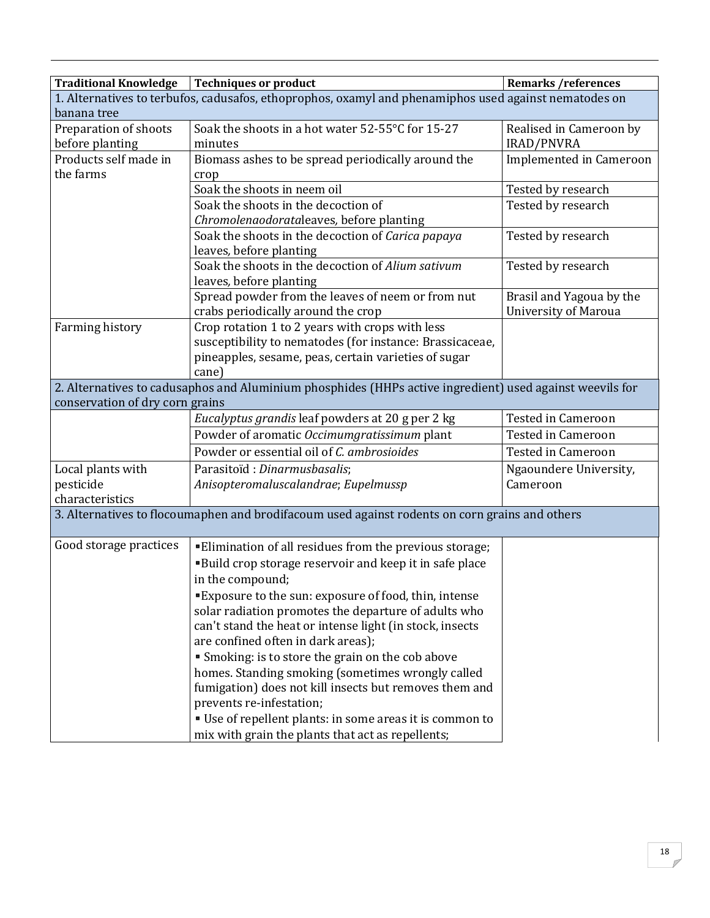| Traditional Knowledge   Techniques or product |                                                                                                          | <b>Remarks /references</b>  |  |  |  |  |  |  |  |  |
|-----------------------------------------------|----------------------------------------------------------------------------------------------------------|-----------------------------|--|--|--|--|--|--|--|--|
|                                               | 1. Alternatives to terbufos, cadusafos, ethoprophos, oxamyl and phenamiphos used against nematodes on    |                             |  |  |  |  |  |  |  |  |
| banana tree                                   |                                                                                                          |                             |  |  |  |  |  |  |  |  |
| Preparation of shoots                         | Soak the shoots in a hot water 52-55°C for 15-27                                                         | Realised in Cameroon by     |  |  |  |  |  |  |  |  |
| before planting                               | minutes                                                                                                  |                             |  |  |  |  |  |  |  |  |
| Products self made in                         | Biomass ashes to be spread periodically around the                                                       | Implemented in Cameroon     |  |  |  |  |  |  |  |  |
| the farms                                     | crop                                                                                                     |                             |  |  |  |  |  |  |  |  |
|                                               | Soak the shoots in neem oil                                                                              | Tested by research          |  |  |  |  |  |  |  |  |
|                                               | Soak the shoots in the decoction of                                                                      | Tested by research          |  |  |  |  |  |  |  |  |
|                                               | Chromolenaodorataleaves, before planting                                                                 |                             |  |  |  |  |  |  |  |  |
|                                               | Soak the shoots in the decoction of Carica papaya                                                        | Tested by research          |  |  |  |  |  |  |  |  |
|                                               | leaves, before planting                                                                                  |                             |  |  |  |  |  |  |  |  |
|                                               | Soak the shoots in the decoction of Alium sativum<br>Tested by research                                  |                             |  |  |  |  |  |  |  |  |
|                                               | leaves, before planting                                                                                  |                             |  |  |  |  |  |  |  |  |
|                                               | Spread powder from the leaves of neem or from nut                                                        | Brasil and Yagoua by the    |  |  |  |  |  |  |  |  |
|                                               | crabs periodically around the crop                                                                       | <b>University of Maroua</b> |  |  |  |  |  |  |  |  |
| Farming history                               | Crop rotation 1 to 2 years with crops with less                                                          |                             |  |  |  |  |  |  |  |  |
|                                               | susceptibility to nematodes (for instance: Brassicaceae,                                                 |                             |  |  |  |  |  |  |  |  |
|                                               | pineapples, sesame, peas, certain varieties of sugar                                                     |                             |  |  |  |  |  |  |  |  |
|                                               | cane)                                                                                                    |                             |  |  |  |  |  |  |  |  |
|                                               | 2. Alternatives to cadusaphos and Aluminium phosphides (HHPs active ingredient) used against weevils for |                             |  |  |  |  |  |  |  |  |
| conservation of dry corn grains               | <b>Tested in Cameroon</b>                                                                                |                             |  |  |  |  |  |  |  |  |
|                                               | Eucalyptus grandis leaf powders at 20 g per 2 kg                                                         |                             |  |  |  |  |  |  |  |  |
|                                               | Powder of aromatic Occimumgratissimum plant                                                              | <b>Tested in Cameroon</b>   |  |  |  |  |  |  |  |  |
|                                               | Powder or essential oil of C. ambrosioides                                                               | <b>Tested in Cameroon</b>   |  |  |  |  |  |  |  |  |
| Local plants with                             | Parasitoïd : Dinarmusbasalis;                                                                            | Ngaoundere University,      |  |  |  |  |  |  |  |  |
| pesticide                                     | Anisopteromaluscalandrae; Eupelmussp                                                                     | Cameroon                    |  |  |  |  |  |  |  |  |
| characteristics                               |                                                                                                          |                             |  |  |  |  |  |  |  |  |
|                                               | 3. Alternatives to flocoumaphen and brodifacoum used against rodents on corn grains and others           |                             |  |  |  |  |  |  |  |  |
|                                               |                                                                                                          |                             |  |  |  |  |  |  |  |  |
| Good storage practices                        | "Elimination of all residues from the previous storage;                                                  |                             |  |  |  |  |  |  |  |  |
|                                               | <b>Build crop storage reservoir and keep it in safe place</b>                                            |                             |  |  |  |  |  |  |  |  |
|                                               | in the compound;                                                                                         |                             |  |  |  |  |  |  |  |  |
|                                               | <b>Exposure to the sun: exposure of food, thin, intense</b>                                              |                             |  |  |  |  |  |  |  |  |
|                                               | solar radiation promotes the departure of adults who                                                     |                             |  |  |  |  |  |  |  |  |
|                                               | can't stand the heat or intense light (in stock, insects                                                 |                             |  |  |  |  |  |  |  |  |
|                                               | are confined often in dark areas);                                                                       |                             |  |  |  |  |  |  |  |  |
|                                               | " Smoking: is to store the grain on the cob above                                                        |                             |  |  |  |  |  |  |  |  |
|                                               | homes. Standing smoking (sometimes wrongly called                                                        |                             |  |  |  |  |  |  |  |  |
|                                               | fumigation) does not kill insects but removes them and                                                   |                             |  |  |  |  |  |  |  |  |
|                                               | prevents re-infestation;                                                                                 |                             |  |  |  |  |  |  |  |  |
|                                               | " Use of repellent plants: in some areas it is common to                                                 |                             |  |  |  |  |  |  |  |  |
|                                               | mix with grain the plants that act as repellents;                                                        |                             |  |  |  |  |  |  |  |  |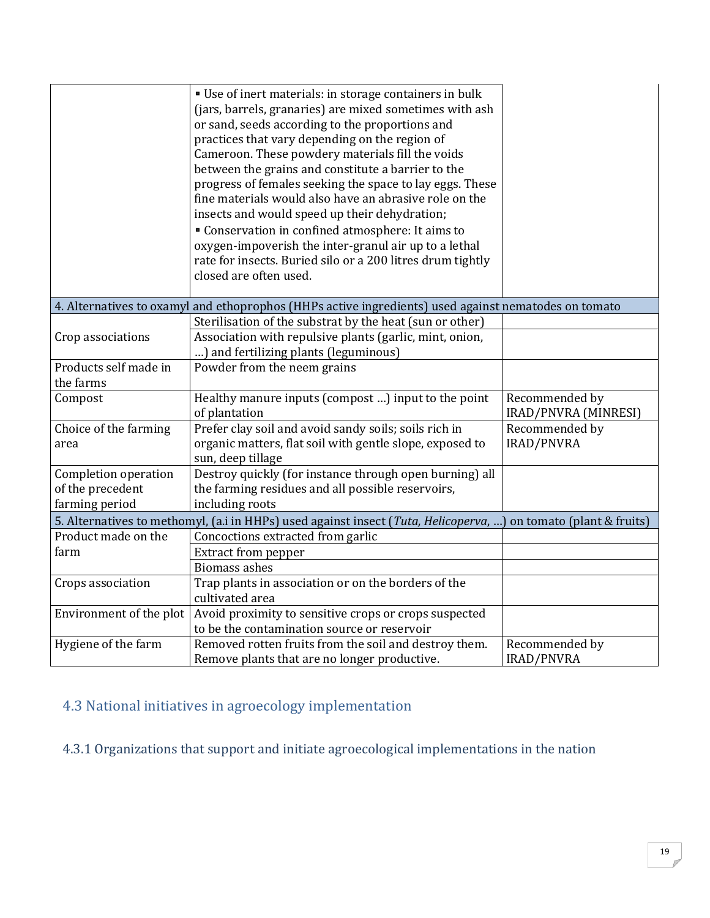|                                              | • Use of inert materials: in storage containers in bulk<br>(jars, barrels, granaries) are mixed sometimes with ash<br>or sand, seeds according to the proportions and<br>practices that vary depending on the region of<br>Cameroon. These powdery materials fill the voids<br>between the grains and constitute a barrier to the<br>progress of females seeking the space to lay eggs. These<br>fine materials would also have an abrasive role on the<br>insects and would speed up their dehydration;<br>• Conservation in confined atmosphere: It aims to<br>oxygen-impoverish the inter-granul air up to a lethal<br>rate for insects. Buried silo or a 200 litres drum tightly<br>closed are often used. |                      |
|----------------------------------------------|----------------------------------------------------------------------------------------------------------------------------------------------------------------------------------------------------------------------------------------------------------------------------------------------------------------------------------------------------------------------------------------------------------------------------------------------------------------------------------------------------------------------------------------------------------------------------------------------------------------------------------------------------------------------------------------------------------------|----------------------|
|                                              | 4. Alternatives to oxamyl and ethoprophos (HHPs active ingredients) used against nematodes on tomato                                                                                                                                                                                                                                                                                                                                                                                                                                                                                                                                                                                                           |                      |
|                                              | Sterilisation of the substrat by the heat (sun or other)                                                                                                                                                                                                                                                                                                                                                                                                                                                                                                                                                                                                                                                       |                      |
| Crop associations                            | Association with repulsive plants (garlic, mint, onion,                                                                                                                                                                                                                                                                                                                                                                                                                                                                                                                                                                                                                                                        |                      |
| ) and fertilizing plants (leguminous)        |                                                                                                                                                                                                                                                                                                                                                                                                                                                                                                                                                                                                                                                                                                                |                      |
| Products self made in                        | Powder from the neem grains                                                                                                                                                                                                                                                                                                                                                                                                                                                                                                                                                                                                                                                                                    |                      |
| the farms                                    |                                                                                                                                                                                                                                                                                                                                                                                                                                                                                                                                                                                                                                                                                                                |                      |
| Compost                                      | Healthy manure inputs (compost ) input to the point                                                                                                                                                                                                                                                                                                                                                                                                                                                                                                                                                                                                                                                            | Recommended by       |
| of plantation                                |                                                                                                                                                                                                                                                                                                                                                                                                                                                                                                                                                                                                                                                                                                                | IRAD/PNVRA (MINRESI) |
| Choice of the farming                        | Prefer clay soil and avoid sandy soils; soils rich in                                                                                                                                                                                                                                                                                                                                                                                                                                                                                                                                                                                                                                                          | Recommended by       |
| area                                         | organic matters, flat soil with gentle slope, exposed to                                                                                                                                                                                                                                                                                                                                                                                                                                                                                                                                                                                                                                                       | <b>IRAD/PNVRA</b>    |
| sun, deep tillage                            |                                                                                                                                                                                                                                                                                                                                                                                                                                                                                                                                                                                                                                                                                                                |                      |
| Completion operation                         | Destroy quickly (for instance through open burning) all                                                                                                                                                                                                                                                                                                                                                                                                                                                                                                                                                                                                                                                        |                      |
| of the precedent                             | the farming residues and all possible reservoirs,                                                                                                                                                                                                                                                                                                                                                                                                                                                                                                                                                                                                                                                              |                      |
| farming period<br>including roots            |                                                                                                                                                                                                                                                                                                                                                                                                                                                                                                                                                                                                                                                                                                                |                      |
|                                              | 5. Alternatives to methomyl, (a.i in HHPs) used against insect (Tuta, Helicoperva, ) on tomato (plant & fruits)                                                                                                                                                                                                                                                                                                                                                                                                                                                                                                                                                                                                |                      |
| Product made on the                          | Concoctions extracted from garlic                                                                                                                                                                                                                                                                                                                                                                                                                                                                                                                                                                                                                                                                              |                      |
| farm                                         | <b>Extract from pepper</b>                                                                                                                                                                                                                                                                                                                                                                                                                                                                                                                                                                                                                                                                                     |                      |
| <b>Biomass ashes</b>                         |                                                                                                                                                                                                                                                                                                                                                                                                                                                                                                                                                                                                                                                                                                                |                      |
| Crops association<br>cultivated area         | Trap plants in association or on the borders of the                                                                                                                                                                                                                                                                                                                                                                                                                                                                                                                                                                                                                                                            |                      |
|                                              |                                                                                                                                                                                                                                                                                                                                                                                                                                                                                                                                                                                                                                                                                                                |                      |
| Environment of the plot                      | Avoid proximity to sensitive crops or crops suspected<br>to be the contamination source or reservoir                                                                                                                                                                                                                                                                                                                                                                                                                                                                                                                                                                                                           |                      |
| Hygiene of the farm                          | Removed rotten fruits from the soil and destroy them.                                                                                                                                                                                                                                                                                                                                                                                                                                                                                                                                                                                                                                                          | Recommended by       |
| Remove plants that are no longer productive. |                                                                                                                                                                                                                                                                                                                                                                                                                                                                                                                                                                                                                                                                                                                |                      |

# 4.3 National initiatives in agroecology implementation

4.3.1 Organizations that support and initiate agroecological implementations in the nation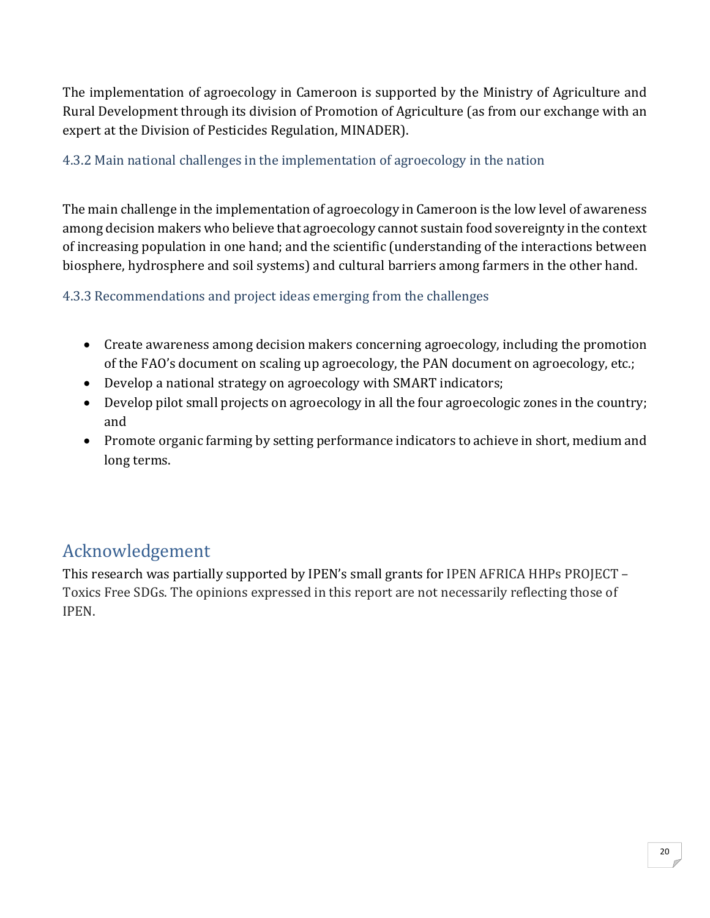The implementation of agroecology in Cameroon is supported by the Ministry of Agriculture and Rural Development through its division of Promotion of Agriculture (as from our exchange with an expert at the Division of Pesticides Regulation, MINADER).

### 4.3.2 Main national challenges in the implementation of agroecology in the nation

The main challenge in the implementation of agroecology in Cameroon is the low level of awareness among decision makers who believe that agroecology cannot sustain food sovereignty in the context of increasing population in one hand; and the scientific (understanding of the interactions between biosphere, hydrosphere and soil systems) and cultural barriers among farmers in the other hand.

### 4.3.3 Recommendations and project ideas emerging from the challenges

- Create awareness among decision makers concerning agroecology, including the promotion of the FAO's document on scaling up agroecology, the PAN document on agroecology, etc.;
- Develop a national strategy on agroecology with SMART indicators;
- Develop pilot small projects on agroecology in all the four agroecologic zones in the country; and
- Promote organic farming by setting performance indicators to achieve in short, medium and long terms.

# Acknowledgement

This research was partially supported by IPEN's small grants for IPEN AFRICA HHPs PROJECT -Toxics Free SDGs. The opinions expressed in this report are not necessarily reflecting those of IPEN.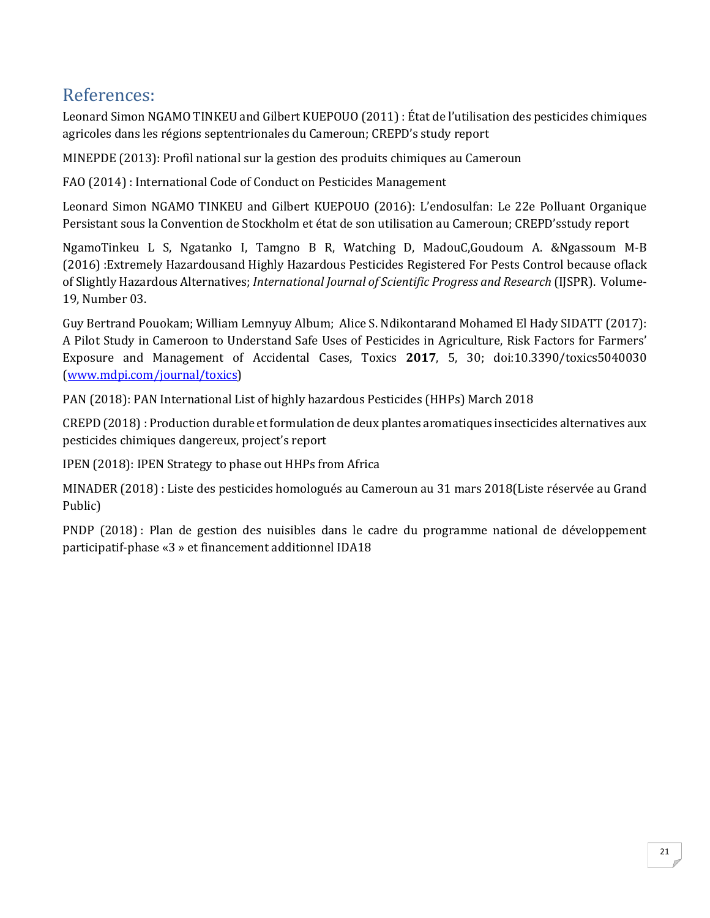# References:

Leonard Simon NGAMO TINKEU and Gilbert KUEPOUO (2011) : État de l'utilisation des pesticides chimiques agricoles dans les régions septentrionales du Cameroun; CREPD's study report

MINEPDE (2013): Profil national sur la gestion des produits chimiques au Cameroun

FAO (2014) : International Code of Conduct on Pesticides Management

Leonard Simon NGAMO TINKEU and Gilbert KUEPOUO (2016): L'endosulfan: Le 22e Polluant Organique Persistant sous la Convention de Stockholm et état de son utilisation au Cameroun; CREPD'sstudy report

NgamoTinkeu L S, Ngatanko I, Tamgno B R, Watching D, MadouC,Goudoum A. &Ngassoum M-B (2016) :Extremely Hazardousand Highly Hazardous Pesticides Registered For Pests Control because oflack of Slightly Hazardous Alternatives; *International Journal of Scientific Progress and Research* (IJSPR). Volume-19, Number 03.

Guy Bertrand Pouokam; William Lemnyuy Album; Alice S. Ndikontarand Mohamed El Hady SIDATT (2017): A Pilot Study in Cameroon to Understand Safe Uses of Pesticides in Agriculture, Risk Factors for Farmers' Exposure and Management of Accidental Cases, Toxics 2017, 5, 30; doi:10.3390/toxics5040030 (www.mdpi.com/journal/toxics)

PAN (2018): PAN International List of highly hazardous Pesticides (HHPs) March 2018

CREPD (2018) : Production durable et formulation de deux plantes aromatiques insecticides alternatives aux pesticides chimiques dangereux, project's report

IPEN (2018): IPEN Strategy to phase out HHPs from Africa

MINADER (2018) : Liste des pesticides homologués au Cameroun au 31 mars 2018(Liste réservée au Grand Public)

PNDP (2018) : Plan de gestion des nuisibles dans le cadre du programme national de développement participatif-phase «3 » et financement additionnel IDA18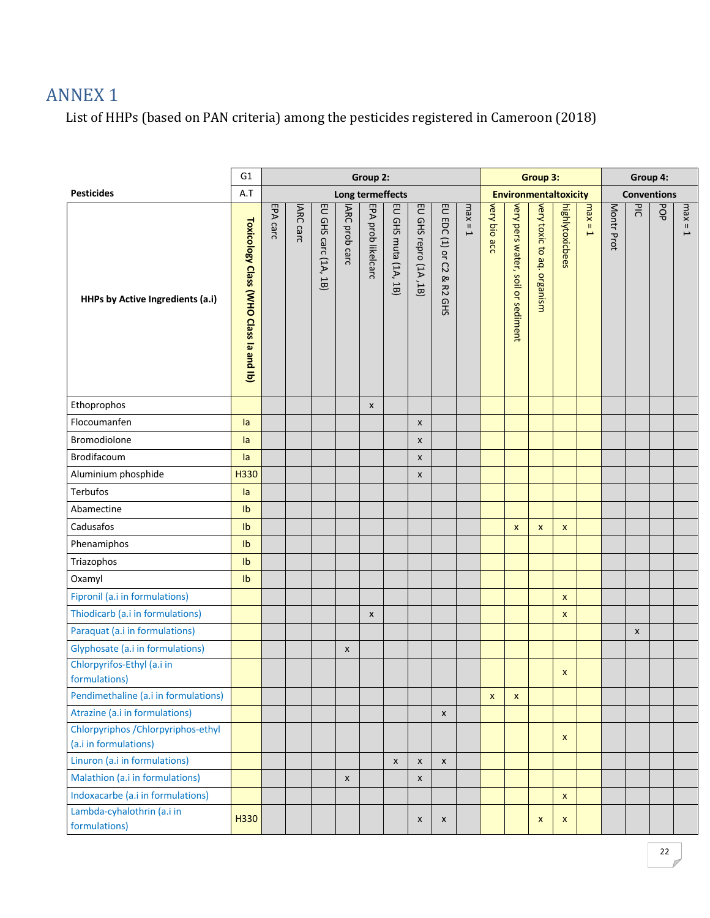# **ANNEX 1**

List of HHPs (based on PAN criteria) among the pesticides registered in Cameroon (2018)

|                                                              | G <sub>1</sub>                         | Group 2: |                                                  |                      |                      |                    |                      |                      |                                                       | Group 3:  |                |                                   |                            |                    | Group 4:  |            |                |     |           |
|--------------------------------------------------------------|----------------------------------------|----------|--------------------------------------------------|----------------------|----------------------|--------------------|----------------------|----------------------|-------------------------------------------------------|-----------|----------------|-----------------------------------|----------------------------|--------------------|-----------|------------|----------------|-----|-----------|
| <b>Pesticides</b>                                            | A.T                                    |          | Long termeffects<br><b>Environmentaltoxicity</b> |                      |                      |                    |                      |                      |                                                       |           |                |                                   |                            | <b>Conventions</b> |           |            |                |     |           |
| HHPs by Active Ingredients (a.i)                             | Toxicology Class (WHO Class la and Ib) | EPA carc | ARC carc                                         | EU GHS carc (1A, 1B) | <b>ARC</b> prob carc | EPA prob likelcarc | EU GHS muta (1A, 1B) | EU GHS repro (1A,1B) | EU EDC (1) or<br>$\Omega$<br>$\infty$<br>$R_2$<br>GHS | $I = xeu$ | very bio acc   | very pers water, soil or sediment | very toxic to aq. organism | highlytoxicbees    | $I = xeu$ | Montr Prot | DIC            | dOd | $I = xeu$ |
| Ethoprophos                                                  |                                        |          |                                                  |                      |                      | X                  |                      |                      |                                                       |           |                |                                   |                            |                    |           |            |                |     |           |
| Flocoumanfen                                                 | la                                     |          |                                                  |                      |                      |                    |                      | X                    |                                                       |           |                |                                   |                            |                    |           |            |                |     |           |
| Bromodiolone                                                 | la                                     |          |                                                  |                      |                      |                    |                      | X                    |                                                       |           |                |                                   |                            |                    |           |            |                |     |           |
| Brodifacoum                                                  | la                                     |          |                                                  |                      |                      |                    |                      | X                    |                                                       |           |                |                                   |                            |                    |           |            |                |     |           |
| Aluminium phosphide                                          | H330                                   |          |                                                  |                      |                      |                    |                      | X                    |                                                       |           |                |                                   |                            |                    |           |            |                |     |           |
| <b>Terbufos</b>                                              | la                                     |          |                                                  |                      |                      |                    |                      |                      |                                                       |           |                |                                   |                            |                    |           |            |                |     |           |
| Abamectine                                                   | 1 <sub>b</sub>                         |          |                                                  |                      |                      |                    |                      |                      |                                                       |           |                |                                   |                            |                    |           |            |                |     |           |
| Cadusafos                                                    | 1 <sub>b</sub>                         |          |                                                  |                      |                      |                    |                      |                      |                                                       |           |                | $\boldsymbol{x}$                  | $\pmb{\mathsf{x}}$         | $\pmb{\mathsf{X}}$ |           |            |                |     |           |
| Phenamiphos                                                  | 1 <sub>b</sub>                         |          |                                                  |                      |                      |                    |                      |                      |                                                       |           |                |                                   |                            |                    |           |            |                |     |           |
| Triazophos                                                   | 1 <sub>b</sub>                         |          |                                                  |                      |                      |                    |                      |                      |                                                       |           |                |                                   |                            |                    |           |            |                |     |           |
| Oxamyl                                                       | 1 <sub>b</sub>                         |          |                                                  |                      |                      |                    |                      |                      |                                                       |           |                |                                   |                            |                    |           |            |                |     |           |
| Fipronil (a.i in formulations)                               |                                        |          |                                                  |                      |                      |                    |                      |                      |                                                       |           |                |                                   |                            | $\mathsf{x}$       |           |            |                |     |           |
| Thiodicarb (a.i in formulations)                             |                                        |          |                                                  |                      |                      | X                  |                      |                      |                                                       |           |                |                                   |                            | X                  |           |            |                |     |           |
| Paraquat (a.i in formulations)                               |                                        |          |                                                  |                      |                      |                    |                      |                      |                                                       |           |                |                                   |                            |                    |           |            | $\pmb{\times}$ |     |           |
| Glyphosate (a.i in formulations)                             |                                        |          |                                                  |                      | X                    |                    |                      |                      |                                                       |           |                |                                   |                            |                    |           |            |                |     |           |
| Chlorpyrifos-Ethyl (a.i in                                   |                                        |          |                                                  |                      |                      |                    |                      |                      |                                                       |           |                |                                   |                            | $\pmb{\mathsf{X}}$ |           |            |                |     |           |
| formulations)                                                |                                        |          |                                                  |                      |                      |                    |                      |                      |                                                       |           |                |                                   |                            |                    |           |            |                |     |           |
| Pendimethaline (a.i in formulations)                         |                                        |          |                                                  |                      |                      |                    |                      |                      |                                                       |           | $\pmb{\times}$ | $\pmb{\times}$                    |                            |                    |           |            |                |     |           |
| Atrazine (a.i in formulations)                               |                                        |          |                                                  |                      |                      |                    |                      |                      | $\pmb{\times}$                                        |           |                |                                   |                            |                    |           |            |                |     |           |
| Chlorpyriphos / Chlorpyriphos-ethyl<br>(a.i in formulations) |                                        |          |                                                  |                      |                      |                    |                      |                      |                                                       |           |                |                                   |                            | $\pmb{\mathsf{X}}$ |           |            |                |     |           |
| Linuron (a.i in formulations)                                |                                        |          |                                                  |                      |                      |                    | $\pmb{\chi}$         | $\pmb{\mathsf{x}}$   | $\pmb{\mathsf{X}}$                                    |           |                |                                   |                            |                    |           |            |                |     |           |
| Malathion (a.i in formulations)                              |                                        |          |                                                  |                      | X                    |                    |                      | X                    |                                                       |           |                |                                   |                            |                    |           |            |                |     |           |
| Indoxacarbe (a.i in formulations)                            |                                        |          |                                                  |                      |                      |                    |                      |                      |                                                       |           |                |                                   |                            | $\pmb{\mathsf{x}}$ |           |            |                |     |           |
| Lambda-cyhalothrin (a.i in<br>formulations)                  | H330                                   |          |                                                  |                      |                      |                    |                      | X                    | X                                                     |           |                |                                   | $\pmb{\mathsf{x}}$         | $\pmb{\mathsf{x}}$ |           |            |                |     |           |